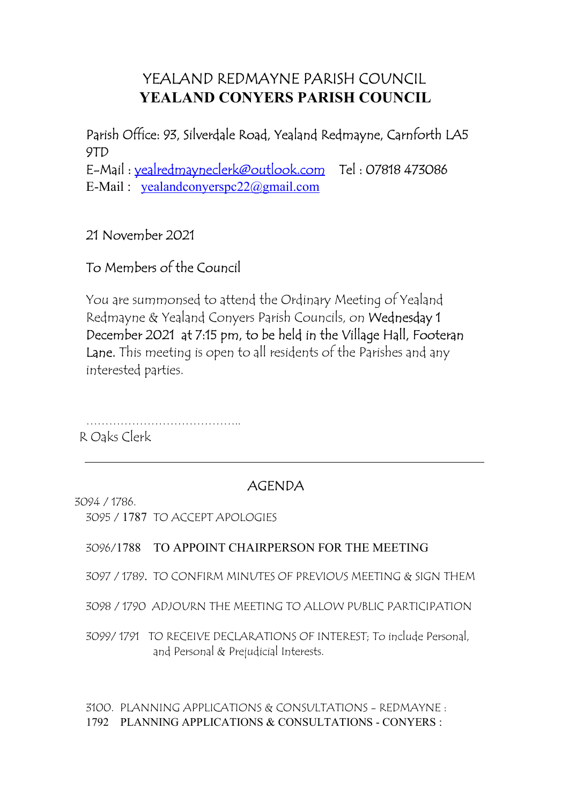# YEALAND REDMAYNE PARISH COUNCIL YEALAND CONYERS PARISH COUNCIL

Parish Office: 93, Silverdale Road, Yealand Redmayne, Carnforth LA5 9TD E-Mail : yealredmayneclerk@outlook.com Tel : 07818 473086 E-Mail : yealandconyerspc22@gmail.com

## 21 November 2021

## To Members of the Council

You are summonsed to attend the Ordinary Meeting of Yealand Redmayne & Yealand Conyers Parish Councils, on Wednesday 1 December 2021 at 7:15 pm, to be held in the Village Hall, Footeran Lane. This meeting is open to all residents of the Parishes and any interested parties.

…………………………………..

R Oaks Clerk

## AGENDA

3094 / 1786.

3095 / 1787 TO ACCEPT APOLOGIES

### 3096/1788 TO APPOINT CHAIRPERSON FOR THE MEETING

3097 / 1789. TO CONFIRM MINUTES OF PREVIOUS MEETING & SIGN THEM

3098 / 1790 ADJOURN THE MEETING TO ALLOW PUBLIC PARTICIPATION

3099/ 1791 TO RECEIVE DECLARATIONS OF INTEREST; To include Personal, and Personal & Prejudicial Interests.

3100. PLANNING APPLICATIONS & CONSULTATIONS - REDMAYNE : 1792 PLANNING APPLICATIONS & CONSULTATIONS - CONYERS :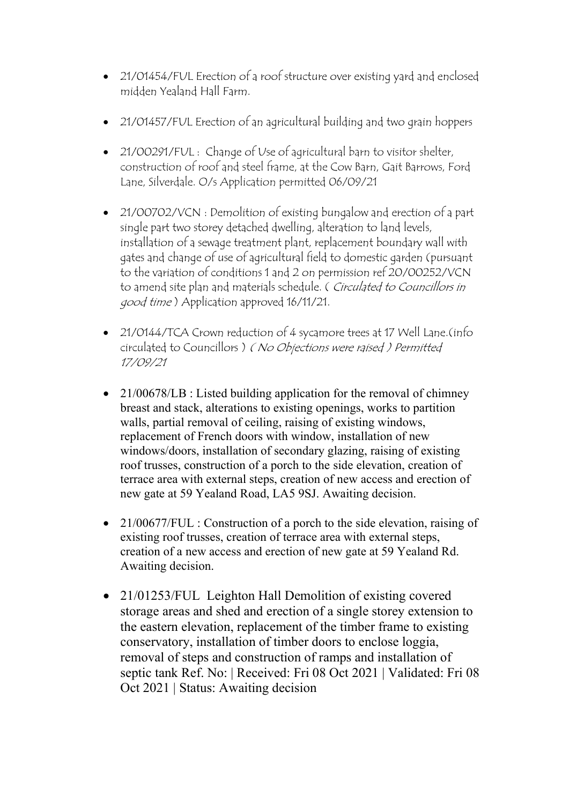- 21/01454/FUL Erection of a roof structure over existing yard and enclosed midden Yealand Hall Farm.
- 21/01457/FUL Erection of an agricultural building and two grain hoppers
- 21/00291/FUL : Change of Use of agricultural barn to visitor shelter, construction of roof and steel frame, at the Cow Barn, Gait Barrows, Ford Lane, Silverdale. O/s Application permitted 06/09/21
- 21/00702/VCN : Demolition of existing bungalow and erection of a part single part two storey detached dwelling, alteration to land levels, installation of a sewage treatment plant, replacement boundary wall with gates and change of use of agricultural field to domestic garden (pursuant to the variation of conditions 1 and 2 on permission ref 20/00252/VCN to amend site plan and materials schedule. (Circulated to Councillors in good time ) Application approved 16/11/21.
- 21/0144/TCA Crown reduction of 4 sycamore trees at 17 Well Lane. (info circulated to Councillors ) ( No Objections were raised ) Permitted 17/09/21
- 21/00678/LB : Listed building application for the removal of chimney breast and stack, alterations to existing openings, works to partition walls, partial removal of ceiling, raising of existing windows, replacement of French doors with window, installation of new windows/doors, installation of secondary glazing, raising of existing roof trusses, construction of a porch to the side elevation, creation of terrace area with external steps, creation of new access and erection of new gate at 59 Yealand Road, LA5 9SJ. Awaiting decision.
- 21/00677/FUL : Construction of a porch to the side elevation, raising of existing roof trusses, creation of terrace area with external steps, creation of a new access and erection of new gate at 59 Yealand Rd. Awaiting decision.
- 21/01253/FUL Leighton Hall Demolition of existing covered storage areas and shed and erection of a single storey extension to the eastern elevation, replacement of the timber frame to existing conservatory, installation of timber doors to enclose loggia, removal of steps and construction of ramps and installation of septic tank Ref. No: | Received: Fri 08 Oct 2021 | Validated: Fri 08 Oct 2021 | Status: Awaiting decision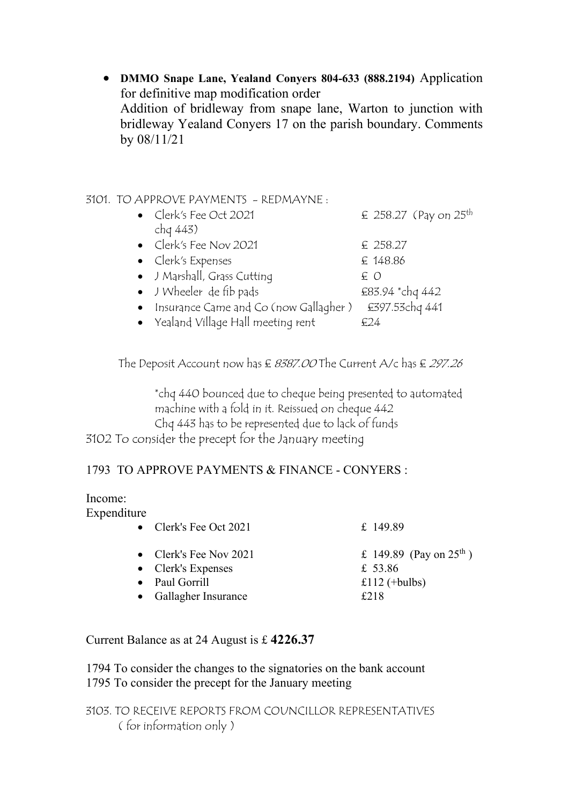DMMO Snape Lane, Yealand Conyers 804-633 (888.2194) Application for definitive map modification order Addition of bridleway from snape lane, Warton to junction with bridleway Yealand Conyers 17 on the parish boundary. Comments by 08/11/21

### 3101. TO APPROVE PAYMENTS - REDMAYNE :

- Clerk's Fee Oct 2021  $\epsilon$  258.27 (Pay on 25<sup>th</sup> chq 443) • Clerk's Fee Nov 2021  $\epsilon$  258.27 •  $Clerk's Express$   $E148.86$ • J Marshall, Grass Cutting  $E \nO$ • J Wheeler de fib pads  $£83.94 *chq 442$ 
	- Insurance Came and Co (now Gallagher) £397.53chq 441
	- Yealand Village Hall meeting rent  $E24$

The Deposit Account now has  $\epsilon$  8387.00 The Current A/c has  $\epsilon$  297.26

\*chq 440 bounced due to cheque being presented to automated machine with a fold in it. Reissued on cheque 442 Chq 443 has to be represented due to lack of funds 3102 To consider the precept for the January meeting

### 1793 TO APPROVE PAYMENTS & FINANCE - CONYERS :

#### Income: Expenditure

| • Clerk's Fee Oct $2021$                                                                        | £ 149.89                                                                |
|-------------------------------------------------------------------------------------------------|-------------------------------------------------------------------------|
| • Clerk's Fee Nov 2021<br>$\bullet$ Clerk's Expenses<br>• Paul Gorrill<br>• Gallagher Insurance | £ 149.89 (Pay on $25^{\text{th}}$ )<br>£ 53.86<br>£112 (+bulbs)<br>£218 |
|                                                                                                 |                                                                         |

### Current Balance as at 24 August is £ 4226.37

1794 To consider the changes to the signatories on the bank account 1795 To consider the precept for the January meeting

3103. TO RECEIVE REPORTS FROM COUNCILLOR REPRESENTATIVES ( for information only )